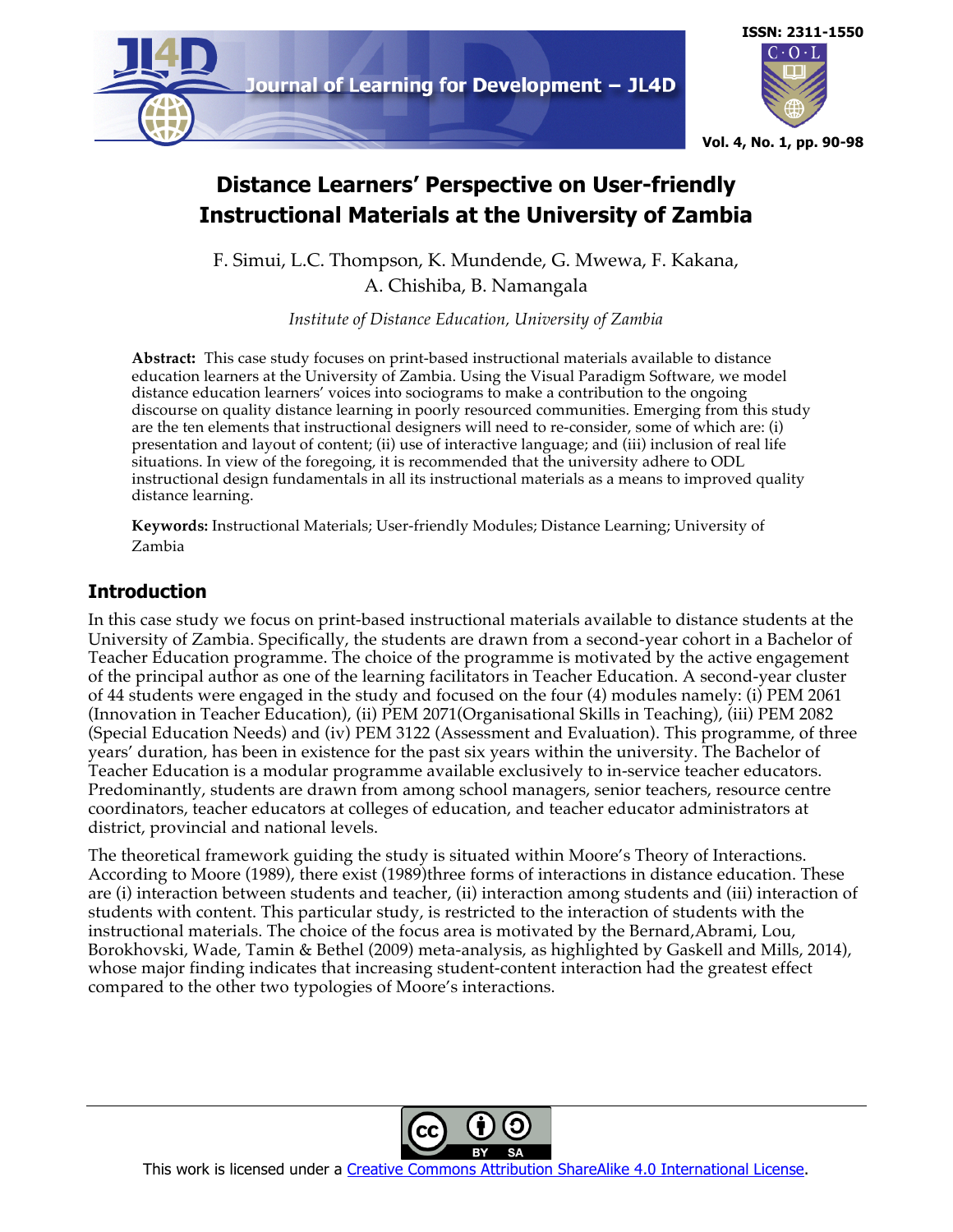



# **Distance Learners' Perspective on User-friendly Instructional Materials at the University of Zambia**

F. Simui, L.C. Thompson, K. Mundende, G. Mwewa, F. Kakana, A. Chishiba, B. Namangala

*Institute of Distance Education, University of Zambia*

**Abstract:** This case study focuses on print-based instructional materials available to distance education learners at the University of Zambia. Using the Visual Paradigm Software, we model distance education learners' voices into sociograms to make a contribution to the ongoing discourse on quality distance learning in poorly resourced communities. Emerging from this study are the ten elements that instructional designers will need to re-consider, some of which are: (i) presentation and layout of content; (ii) use of interactive language; and (iii) inclusion of real life situations. In view of the foregoing, it is recommended that the university adhere to ODL instructional design fundamentals in all its instructional materials as a means to improved quality distance learning.

**Keywords:** Instructional Materials; User-friendly Modules; Distance Learning; University of Zambia

## **Introduction**

In this case study we focus on print-based instructional materials available to distance students at the University of Zambia. Specifically, the students are drawn from a second-year cohort in a Bachelor of Teacher Education programme. The choice of the programme is motivated by the active engagement of the principal author as one of the learning facilitators in Teacher Education. A second-year cluster of 44 students were engaged in the study and focused on the four (4) modules namely: (i) PEM 2061 (Innovation in Teacher Education), (ii) PEM 2071(Organisational Skills in Teaching), (iii) PEM 2082 (Special Education Needs) and (iv) PEM 3122 (Assessment and Evaluation). This programme, of three years' duration, has been in existence for the past six years within the university. The Bachelor of Teacher Education is a modular programme available exclusively to in-service teacher educators. Predominantly, students are drawn from among school managers, senior teachers, resource centre coordinators, teacher educators at colleges of education, and teacher educator administrators at district, provincial and national levels.

The theoretical framework guiding the study is situated within Moore's Theory of Interactions. According to Moore (1989), there exist (1989)three forms of interactions in distance education. These are (i) interaction between students and teacher, (ii) interaction among students and (iii) interaction of students with content. This particular study, is restricted to the interaction of students with the instructional materials. The choice of the focus area is motivated by the Bernard,Abrami, Lou, Borokhovski, Wade, Tamin & Bethel (2009) meta-analysis, as highlighted by Gaskell and Mills, 2014), whose major finding indicates that increasing student-content interaction had the greatest effect compared to the other two typologies of Moore's interactions.

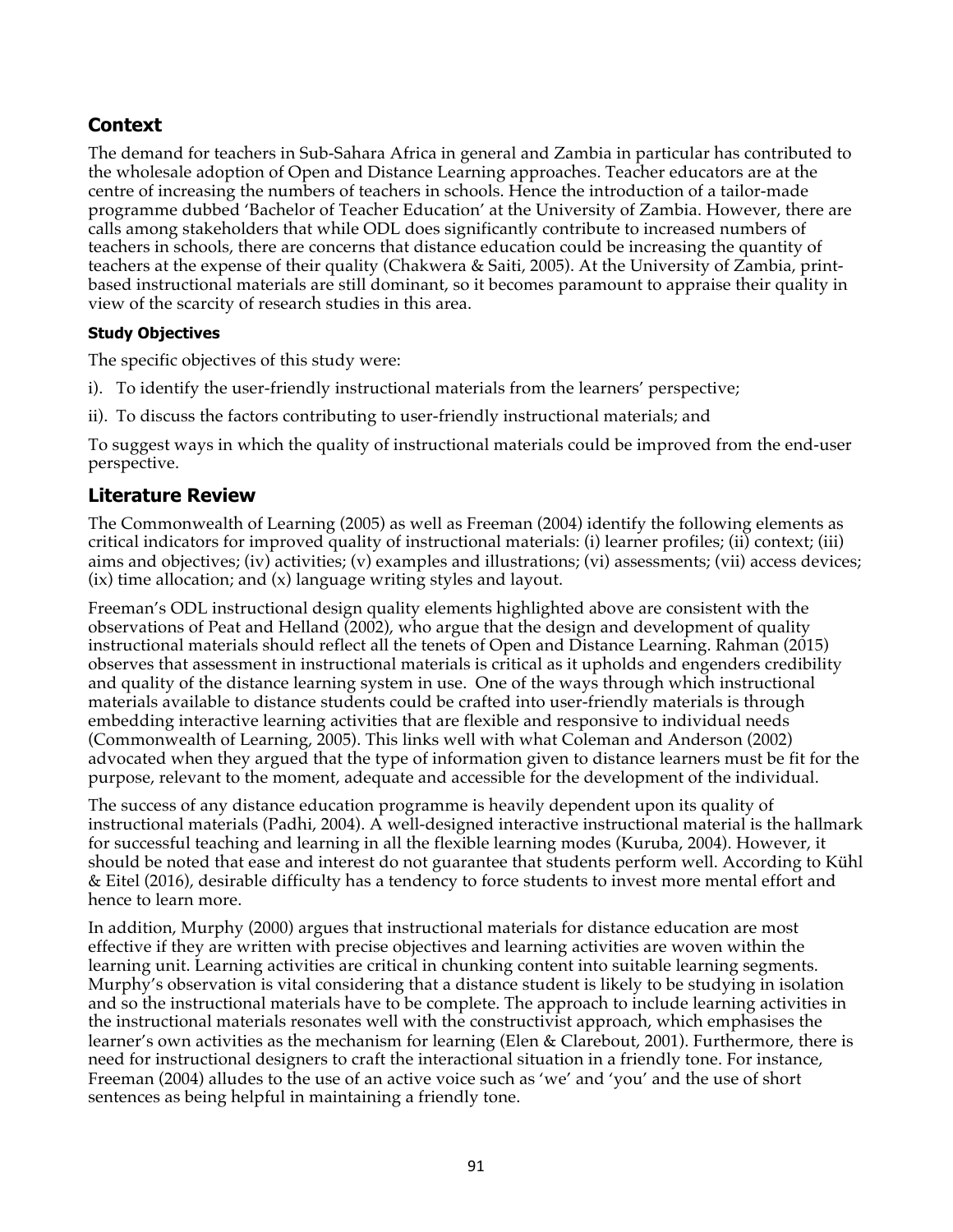## **Context**

The demand for teachers in Sub-Sahara Africa in general and Zambia in particular has contributed to the wholesale adoption of Open and Distance Learning approaches. Teacher educators are at the centre of increasing the numbers of teachers in schools. Hence the introduction of a tailor-made programme dubbed 'Bachelor of Teacher Education' at the University of Zambia. However, there are calls among stakeholders that while ODL does significantly contribute to increased numbers of teachers in schools, there are concerns that distance education could be increasing the quantity of teachers at the expense of their quality (Chakwera & Saiti, 2005). At the University of Zambia, printbased instructional materials are still dominant, so it becomes paramount to appraise their quality in view of the scarcity of research studies in this area.

## **Study Objectives**

The specific objectives of this study were:

- i). To identify the user-friendly instructional materials from the learners' perspective;
- ii). To discuss the factors contributing to user-friendly instructional materials; and

To suggest ways in which the quality of instructional materials could be improved from the end-user perspective.

## **Literature Review**

The Commonwealth of Learning (2005) as well as Freeman (2004) identify the following elements as critical indicators for improved quality of instructional materials: (i) learner profiles; (ii) context; (iii) aims and objectives; (iv) activities; (v) examples and illustrations; (vi) assessments; (vii) access devices; (ix) time allocation; and (x) language writing styles and layout.

Freeman's ODL instructional design quality elements highlighted above are consistent with the observations of Peat and Helland (2002), who argue that the design and development of quality instructional materials should reflect all the tenets of Open and Distance Learning. Rahman (2015) observes that assessment in instructional materials is critical as it upholds and engenders credibility and quality of the distance learning system in use. One of the ways through which instructional materials available to distance students could be crafted into user-friendly materials is through embedding interactive learning activities that are flexible and responsive to individual needs (Commonwealth of Learning, 2005). This links well with what Coleman and Anderson (2002) advocated when they argued that the type of information given to distance learners must be fit for the purpose, relevant to the moment, adequate and accessible for the development of the individual.

The success of any distance education programme is heavily dependent upon its quality of instructional materials (Padhi, 2004). A well-designed interactive instructional material is the hallmark for successful teaching and learning in all the flexible learning modes (Kuruba, 2004). However, it should be noted that ease and interest do not guarantee that students perform well. According to Kühl & Eitel (2016), desirable difficulty has a tendency to force students to invest more mental effort and hence to learn more.

In addition, Murphy (2000) argues that instructional materials for distance education are most effective if they are written with precise objectives and learning activities are woven within the learning unit. Learning activities are critical in chunking content into suitable learning segments. Murphy's observation is vital considering that a distance student is likely to be studying in isolation and so the instructional materials have to be complete. The approach to include learning activities in the instructional materials resonates well with the constructivist approach, which emphasises the learner's own activities as the mechanism for learning (Elen & Clarebout, 2001). Furthermore, there is need for instructional designers to craft the interactional situation in a friendly tone. For instance, Freeman (2004) alludes to the use of an active voice such as 'we' and 'you' and the use of short sentences as being helpful in maintaining a friendly tone.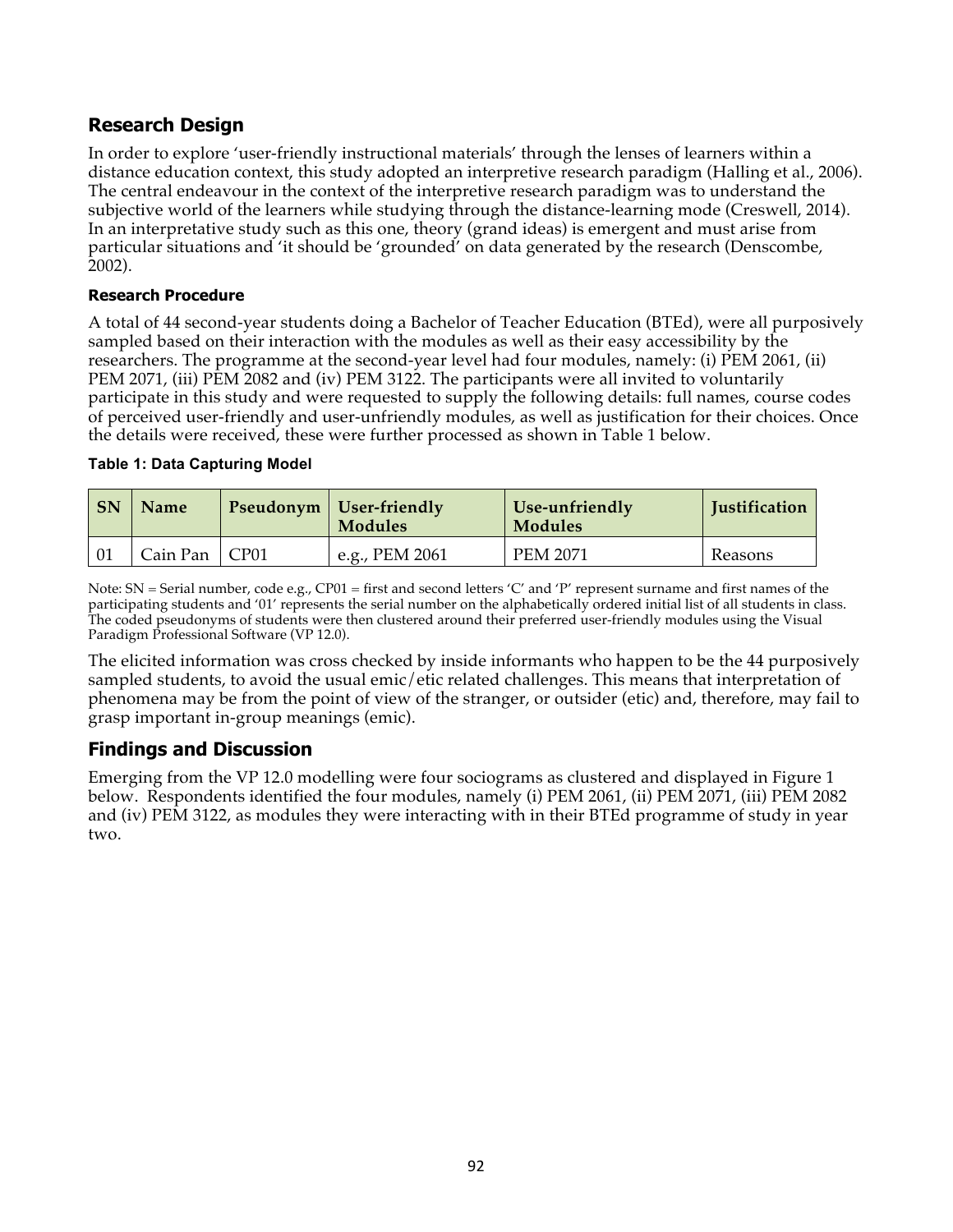## **Research Design**

In order to explore 'user-friendly instructional materials' through the lenses of learners within a distance education context, this study adopted an interpretive research paradigm (Halling et al., 2006). The central endeavour in the context of the interpretive research paradigm was to understand the subjective world of the learners while studying through the distance-learning mode (Creswell, 2014). In an interpretative study such as this one, theory (grand ideas) is emergent and must arise from particular situations and 'it should be 'grounded' on data generated by the research (Denscombe, 2002).

#### **Research Procedure**

A total of 44 second-year students doing a Bachelor of Teacher Education (BTEd), were all purposively sampled based on their interaction with the modules as well as their easy accessibility by the researchers. The programme at the second-year level had four modules, namely: (i) PEM 2061, (ii) PEM 2071, (iii) PEM 2082 and (iv) PEM 3122. The participants were all invited to voluntarily participate in this study and were requested to supply the following details: full names, course codes of perceived user-friendly and user-unfriendly modules, as well as justification for their choices. Once the details were received, these were further processed as shown in Table 1 below.

#### **Table 1: Data Capturing Model**

| <b>SN</b> | <b>Name</b>     | <b>Pseudonym</b>   User-friendly<br>Modules | Use-unfriendly<br><b>Modules</b> | <b>Justification</b> |
|-----------|-----------------|---------------------------------------------|----------------------------------|----------------------|
|           | Cain Pan   CP01 | e.g., PEM 2061                              | <b>PEM 2071</b>                  | Reasons              |

Note: SN = Serial number, code e.g., CP01 = first and second letters 'C' and 'P' represent surname and first names of the participating students and '01' represents the serial number on the alphabetically ordered initial list of all students in class. The coded pseudonyms of students were then clustered around their preferred user-friendly modules using the Visual Paradigm Professional Software (VP 12.0).

The elicited information was cross checked by inside informants who happen to be the 44 purposively sampled students, to avoid the usual emic/etic related challenges. This means that interpretation of phenomena may be from the point of view of the stranger, or outsider (etic) and, therefore, may fail to grasp important in-group meanings (emic).

## **Findings and Discussion**

Emerging from the VP 12.0 modelling were four sociograms as clustered and displayed in Figure 1 below. Respondents identified the four modules, namely (i) PEM 2061, (ii) PEM 2071, (iii) PEM 2082 and (iv) PEM 3122, as modules they were interacting with in their BTEd programme of study in year two.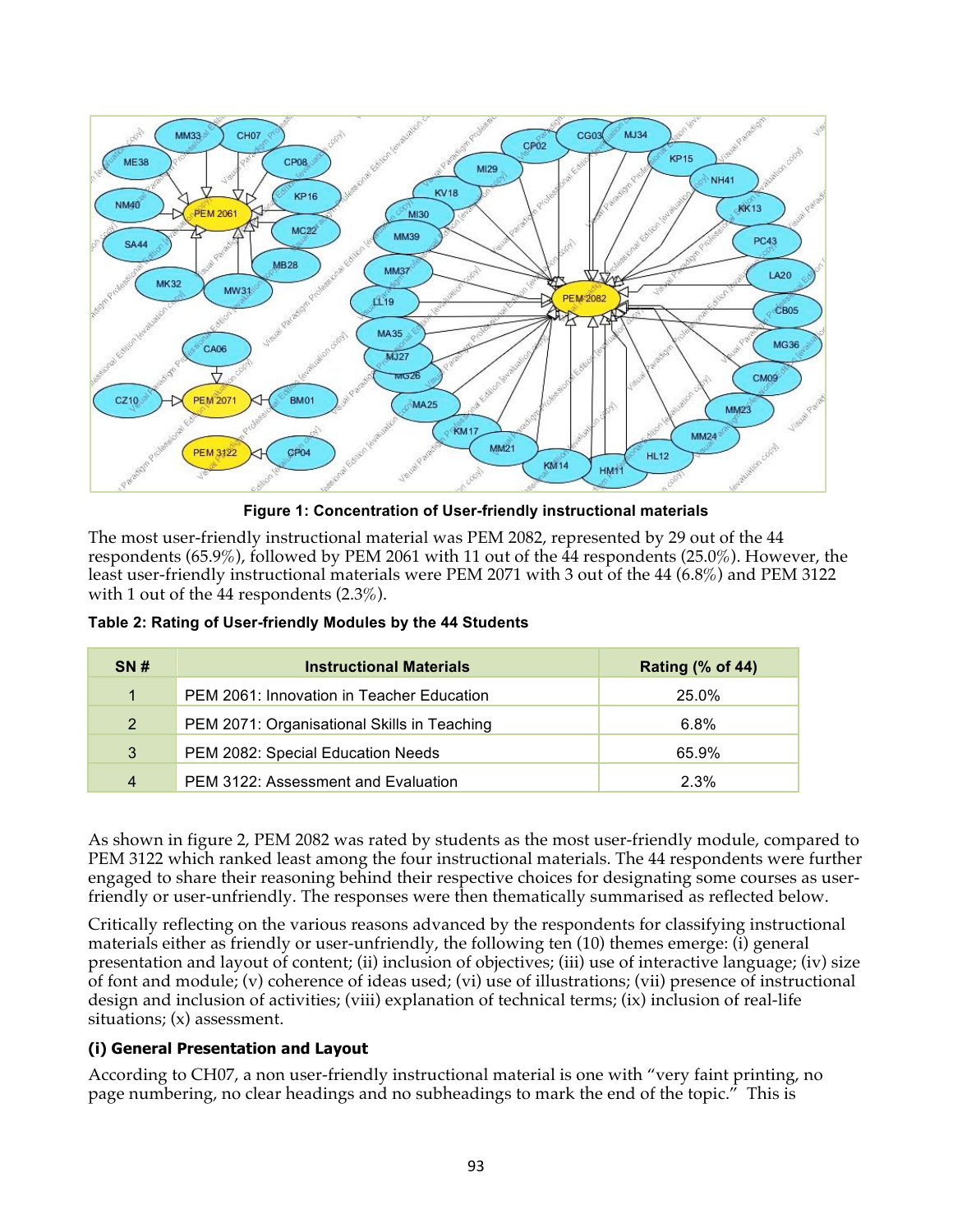

**Figure 1: Concentration of User-friendly instructional materials**

The most user-friendly instructional material was PEM 2082, represented by 29 out of the 44 respondents (65.9%), followed by PEM 2061 with 11 out of the 44 respondents (25.0%). However, the least user-friendly instructional materials were PEM 2071 with 3 out of the 44 (6.8%) and PEM 3122 with 1 out of the 44 respondents (2.3%).

| <b>SN#</b>     | <b>Instructional Materials</b>              | <b>Rating (% of 44)</b> |
|----------------|---------------------------------------------|-------------------------|
| $\overline{1}$ | PEM 2061: Innovation in Teacher Education   | 25.0%                   |
| 2 <sup>1</sup> | PEM 2071: Organisational Skills in Teaching | 6.8%                    |
| 3              | PEM 2082: Special Education Needs           | 65.9%                   |
| $\overline{4}$ | PEM 3122: Assessment and Evaluation         | 2.3%                    |

**Table 2: Rating of User-friendly Modules by the 44 Students**

As shown in figure 2, PEM 2082 was rated by students as the most user-friendly module, compared to PEM 3122 which ranked least among the four instructional materials. The 44 respondents were further engaged to share their reasoning behind their respective choices for designating some courses as userfriendly or user-unfriendly. The responses were then thematically summarised as reflected below.

Critically reflecting on the various reasons advanced by the respondents for classifying instructional materials either as friendly or user-unfriendly, the following ten (10) themes emerge: (i) general presentation and layout of content; (ii) inclusion of objectives; (iii) use of interactive language; (iv) size of font and module; (v) coherence of ideas used; (vi) use of illustrations; (vii) presence of instructional design and inclusion of activities; (viii) explanation of technical terms; (ix) inclusion of real-life situations; (x) assessment.

#### **(i) General Presentation and Layout**

According to CH07, a non user-friendly instructional material is one with "very faint printing, no page numbering, no clear headings and no subheadings to mark the end of the topic." This is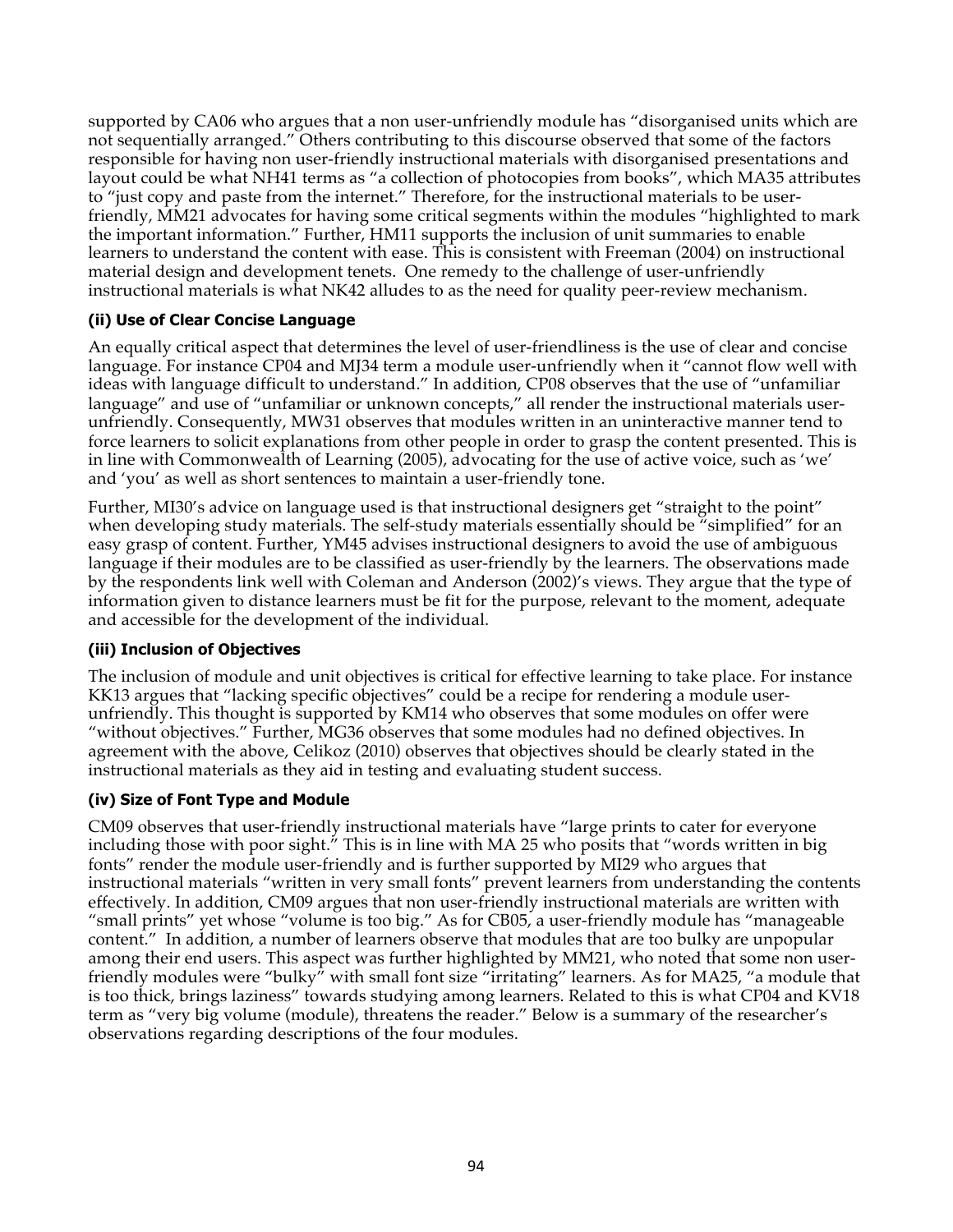supported by CA06 who argues that a non user-unfriendly module has "disorganised units which are not sequentially arranged." Others contributing to this discourse observed that some of the factors responsible for having non user-friendly instructional materials with disorganised presentations and layout could be what NH41 terms as "a collection of photocopies from books", which MA35 attributes to "just copy and paste from the internet." Therefore, for the instructional materials to be userfriendly, MM21 advocates for having some critical segments within the modules "highlighted to mark the important information." Further, HM11 supports the inclusion of unit summaries to enable learners to understand the content with ease. This is consistent with Freeman (2004) on instructional material design and development tenets. One remedy to the challenge of user-unfriendly instructional materials is what NK42 alludes to as the need for quality peer-review mechanism.

### **(ii) Use of Clear Concise Language**

An equally critical aspect that determines the level of user-friendliness is the use of clear and concise language. For instance CP04 and MJ34 term a module user-unfriendly when it "cannot flow well with ideas with language difficult to understand." In addition, CP08 observes that the use of "unfamiliar language" and use of "unfamiliar or unknown concepts," all render the instructional materials userunfriendly. Consequently, MW31 observes that modules written in an uninteractive manner tend to force learners to solicit explanations from other people in order to grasp the content presented. This is in line with Commonwealth of Learning (2005), advocating for the use of active voice, such as 'we' and 'you' as well as short sentences to maintain a user-friendly tone.

Further, MI30's advice on language used is that instructional designers get "straight to the point" when developing study materials. The self-study materials essentially should be "simplified" for an easy grasp of content. Further, YM45 advises instructional designers to avoid the use of ambiguous language if their modules are to be classified as user-friendly by the learners. The observations made by the respondents link well with Coleman and Anderson (2002)'s views. They argue that the type of information given to distance learners must be fit for the purpose, relevant to the moment, adequate and accessible for the development of the individual.

#### **(iii) Inclusion of Objectives**

The inclusion of module and unit objectives is critical for effective learning to take place. For instance KK13 argues that "lacking specific objectives" could be a recipe for rendering a module userunfriendly. This thought is supported by KM14 who observes that some modules on offer were "without objectives." Further, MG36 observes that some modules had no defined objectives. In agreement with the above, Celikoz (2010) observes that objectives should be clearly stated in the instructional materials as they aid in testing and evaluating student success.

#### **(iv) Size of Font Type and Module**

CM09 observes that user-friendly instructional materials have "large prints to cater for everyone including those with poor sight." This is in line with MA 25 who posits that "words written in big fonts" render the module user-friendly and is further supported by MI29 who argues that instructional materials "written in very small fonts" prevent learners from understanding the contents effectively. In addition, CM09 argues that non user-friendly instructional materials are written with "small prints" yet whose "volume is too big." As for CB05, a user-friendly module has "manageable content." In addition, a number of learners observe that modules that are too bulky are unpopular among their end users. This aspect was further highlighted by MM21, who noted that some non userfriendly modules were "bulky" with small font size "irritating" learners. As for MA25, "a module that is too thick, brings laziness" towards studying among learners. Related to this is what CP04 and KV18 term as "very big volume (module), threatens the reader." Below is a summary of the researcher's observations regarding descriptions of the four modules.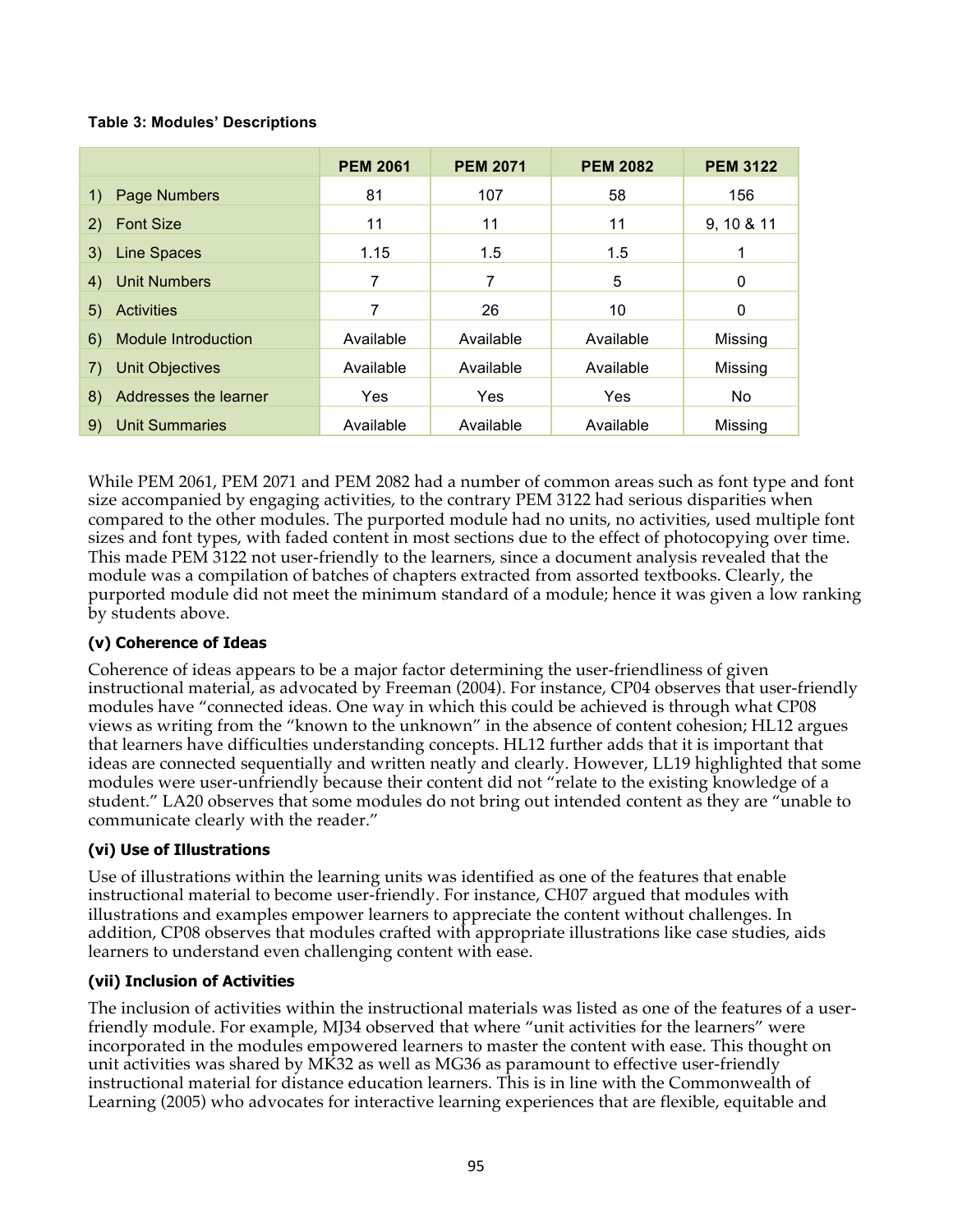#### **Table 3: Modules' Descriptions**

|                                  | <b>PEM 2061</b> | <b>PEM 2071</b> | <b>PEM 2082</b> | <b>PEM 3122</b> |
|----------------------------------|-----------------|-----------------|-----------------|-----------------|
| Page Numbers<br>1)               | 81              | 107             | 58              | 156             |
| <b>Font Size</b><br>2)           | 11              | 11              | 11              | 9, 10 & 11      |
| Line Spaces<br>3)                | 1.15            | 1.5             | 1.5             |                 |
| <b>Unit Numbers</b><br>4)        | 7               | 7               | 5               | 0               |
| <b>Activities</b><br>5)          | 7               | 26              | 10              | 0               |
| <b>Module Introduction</b><br>6) | Available       | Available       | Available       | Missing         |
| <b>Unit Objectives</b><br>7)     | Available       | Available       | Available       | Missing         |
| Addresses the learner<br>8)      | Yes             | Yes             | Yes             | No.             |
| <b>Unit Summaries</b><br>9)      | Available       | Available       | Available       | Missing         |

While PEM 2061, PEM 2071 and PEM 2082 had a number of common areas such as font type and font size accompanied by engaging activities, to the contrary PEM 3122 had serious disparities when compared to the other modules. The purported module had no units, no activities, used multiple font sizes and font types, with faded content in most sections due to the effect of photocopying over time. This made PEM 3122 not user-friendly to the learners, since a document analysis revealed that the module was a compilation of batches of chapters extracted from assorted textbooks. Clearly, the purported module did not meet the minimum standard of a module; hence it was given a low ranking by students above.

#### **(v) Coherence of Ideas**

Coherence of ideas appears to be a major factor determining the user-friendliness of given instructional material, as advocated by Freeman (2004). For instance, CP04 observes that user-friendly modules have "connected ideas. One way in which this could be achieved is through what CP08 views as writing from the "known to the unknown" in the absence of content cohesion; HL12 argues that learners have difficulties understanding concepts. HL12 further adds that it is important that ideas are connected sequentially and written neatly and clearly. However, LL19 highlighted that some modules were user-unfriendly because their content did not "relate to the existing knowledge of a student." LA20 observes that some modules do not bring out intended content as they are "unable to communicate clearly with the reader."

#### **(vi) Use of Illustrations**

Use of illustrations within the learning units was identified as one of the features that enable instructional material to become user-friendly. For instance, CH07 argued that modules with illustrations and examples empower learners to appreciate the content without challenges. In addition, CP08 observes that modules crafted with appropriate illustrations like case studies, aids learners to understand even challenging content with ease.

#### **(vii) Inclusion of Activities**

The inclusion of activities within the instructional materials was listed as one of the features of a userfriendly module. For example, MJ34 observed that where "unit activities for the learners" were incorporated in the modules empowered learners to master the content with ease. This thought on unit activities was shared by MK32 as well as MG36 as paramount to effective user-friendly instructional material for distance education learners. This is in line with the Commonwealth of Learning (2005) who advocates for interactive learning experiences that are flexible, equitable and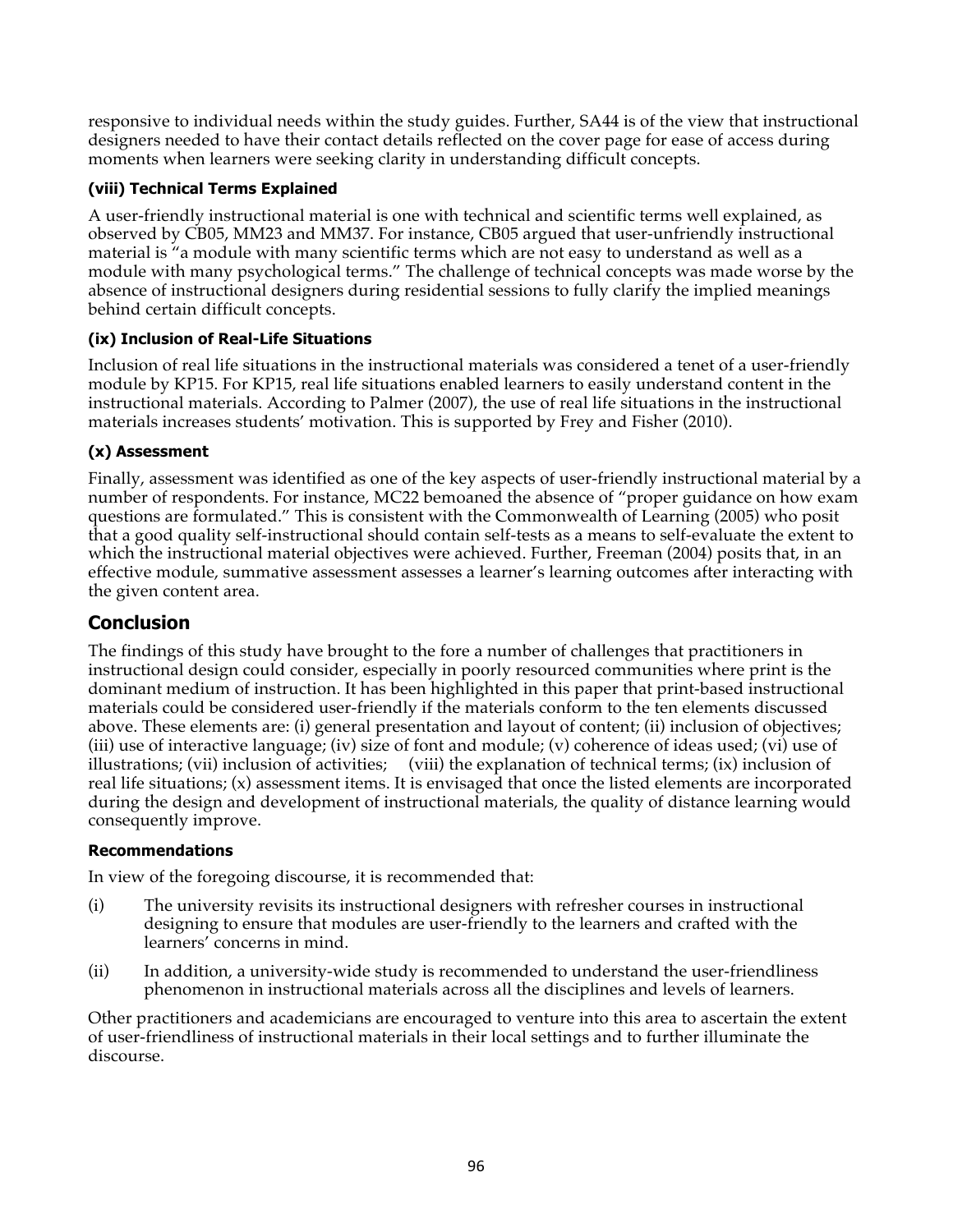responsive to individual needs within the study guides. Further, SA44 is of the view that instructional designers needed to have their contact details reflected on the cover page for ease of access during moments when learners were seeking clarity in understanding difficult concepts.

## **(viii) Technical Terms Explained**

A user-friendly instructional material is one with technical and scientific terms well explained, as observed by CB05, MM23 and MM37. For instance, CB05 argued that user-unfriendly instructional material is "a module with many scientific terms which are not easy to understand as well as a module with many psychological terms." The challenge of technical concepts was made worse by the absence of instructional designers during residential sessions to fully clarify the implied meanings behind certain difficult concepts.

## **(ix) Inclusion of Real-Life Situations**

Inclusion of real life situations in the instructional materials was considered a tenet of a user-friendly module by KP15. For KP15, real life situations enabled learners to easily understand content in the instructional materials. According to Palmer (2007), the use of real life situations in the instructional materials increases students' motivation. This is supported by Frey and Fisher (2010).

## **(x) Assessment**

Finally, assessment was identified as one of the key aspects of user-friendly instructional material by a number of respondents. For instance, MC22 bemoaned the absence of "proper guidance on how exam questions are formulated." This is consistent with the Commonwealth of Learning (2005) who posit that a good quality self-instructional should contain self-tests as a means to self-evaluate the extent to which the instructional material objectives were achieved. Further, Freeman (2004) posits that, in an effective module, summative assessment assesses a learner's learning outcomes after interacting with the given content area.

## **Conclusion**

The findings of this study have brought to the fore a number of challenges that practitioners in instructional design could consider, especially in poorly resourced communities where print is the dominant medium of instruction. It has been highlighted in this paper that print-based instructional materials could be considered user-friendly if the materials conform to the ten elements discussed above. These elements are: (i) general presentation and layout of content; (ii) inclusion of objectives; (iii) use of interactive language; (iv) size of font and module; (v) coherence of ideas used; (vi) use of illustrations; (vii) inclusion of activities; (viii) the explanation of technical terms; (ix) inclusion of real life situations; (x) assessment items. It is envisaged that once the listed elements are incorporated during the design and development of instructional materials, the quality of distance learning would consequently improve.

## **Recommendations**

In view of the foregoing discourse, it is recommended that:

- (i) The university revisits its instructional designers with refresher courses in instructional designing to ensure that modules are user-friendly to the learners and crafted with the learners' concerns in mind.
- (ii) In addition, a university-wide study is recommended to understand the user-friendliness phenomenon in instructional materials across all the disciplines and levels of learners.

Other practitioners and academicians are encouraged to venture into this area to ascertain the extent of user-friendliness of instructional materials in their local settings and to further illuminate the discourse.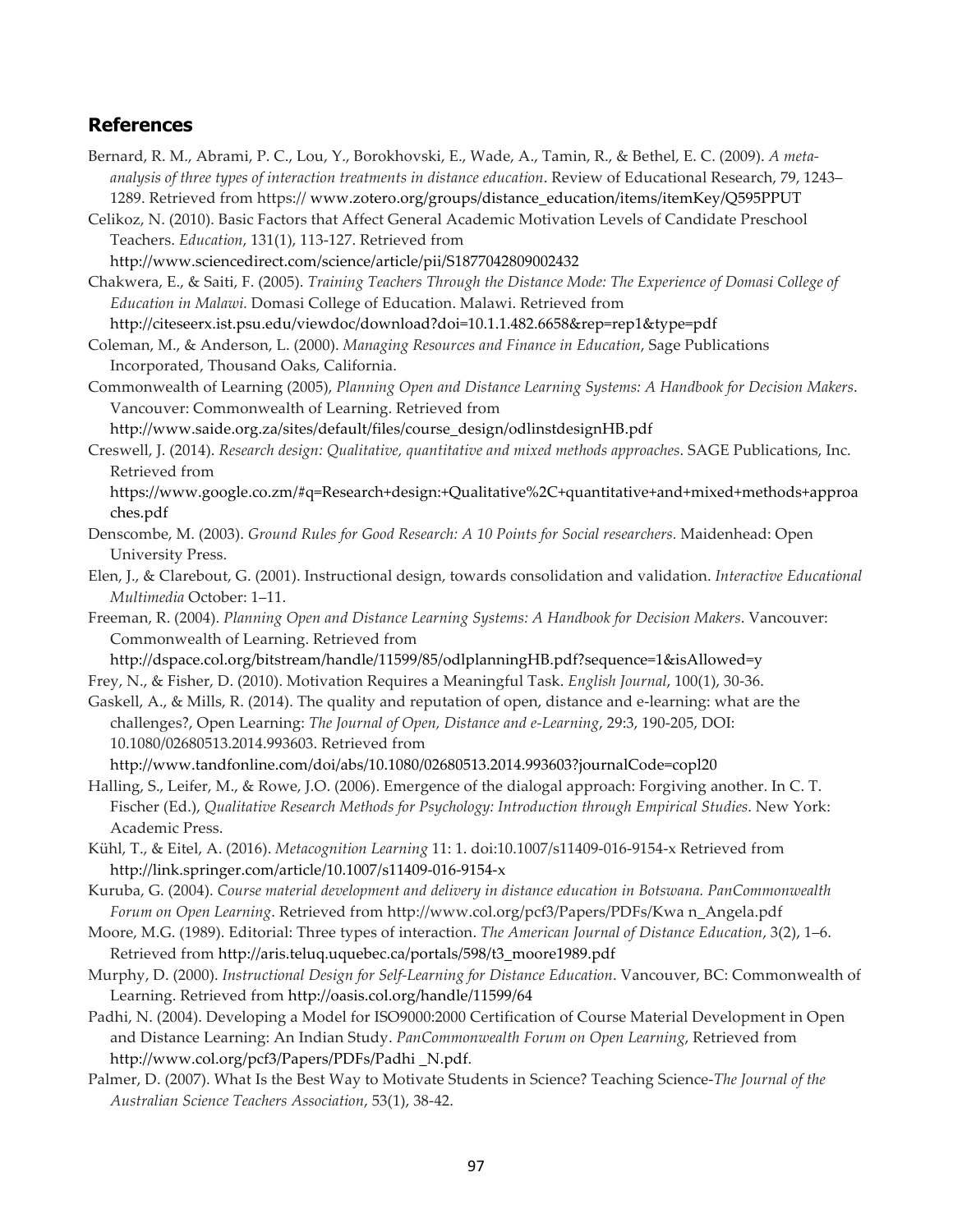## **References**

- Bernard, R. M., Abrami, P. C., Lou, Y., Borokhovski, E., Wade, A., Tamin, R., & Bethel, E. C. (2009). *A metaanalysis of three types of interaction treatments in distance education*. Review of Educational Research, 79, 1243– 1289. Retrieved from https:// www.zotero.org/groups/distance\_education/items/itemKey/Q595PPUT
- Celikoz, N. (2010). Basic Factors that Affect General Academic Motivation Levels of Candidate Preschool Teachers. *Education*, 131(1), 113-127. Retrieved from
- http://www.sciencedirect.com/science/article/pii/S1877042809002432

Chakwera, E., & Saiti, F. (2005). *Training Teachers Through the Distance Mode: The Experience of Domasi College of Education in Malawi.* Domasi College of Education. Malawi. Retrieved from

http://citeseerx.ist.psu.edu/viewdoc/download?doi=10.1.1.482.6658&rep=rep1&type=pdf

Coleman, M., & Anderson, L. (2000). *Managing Resources and Finance in Education*, Sage Publications Incorporated, Thousand Oaks, California.

Commonwealth of Learning (2005), *Planning Open and Distance Learning Systems: A Handbook for Decision Makers*. Vancouver: Commonwealth of Learning. Retrieved from

http://www.saide.org.za/sites/default/files/course\_design/odlinstdesignHB.pdf

Creswell, J. (2014). *Research design: Qualitative, quantitative and mixed methods approaches*. SAGE Publications, Inc. Retrieved from

https://www.google.co.zm/#q=Research+design:+Qualitative%2C+quantitative+and+mixed+methods+approa ches.pdf

- Denscombe, M. (2003). *Ground Rules for Good Research: A 10 Points for Social researchers.* Maidenhead: Open University Press.
- Elen, J., & Clarebout, G. (2001). Instructional design, towards consolidation and validation. *Interactive Educational Multimedia* October: 1–11.
- Freeman, R. (2004). *Planning Open and Distance Learning Systems: A Handbook for Decision Makers*. Vancouver: Commonwealth of Learning. Retrieved from

http://dspace.col.org/bitstream/handle/11599/85/odlplanningHB.pdf?sequence=1&isAllowed=y Frey, N., & Fisher, D. (2010). Motivation Requires a Meaningful Task. *English Journal*, 100(1), 30-36.

Gaskell, A., & Mills, R. (2014). The quality and reputation of open, distance and e-learning: what are the challenges?, Open Learning: *The Journal of Open, Distance and e-Learning*, 29:3, 190-205, DOI: 10.1080/02680513.2014.993603. Retrieved from

http://www.tandfonline.com/doi/abs/10.1080/02680513.2014.993603?journalCode=copl20

Halling, S., Leifer, M., & Rowe, J.O. (2006). Emergence of the dialogal approach: Forgiving another. In C. T. Fischer (Ed.), *Qualitative Research Methods for Psychology: Introduction through Empirical Studies*. New York: Academic Press.

- Kühl, T., & Eitel, A. (2016). *Metacognition Learning* 11: 1. doi:10.1007/s11409-016-9154-x Retrieved from http://link.springer.com/article/10.1007/s11409-016-9154-x
- Kuruba, G. (2004). *Course material development and delivery in distance education in Botswana. PanCommonwealth Forum on Open Learning*. Retrieved from http://www.col.org/pcf3/Papers/PDFs/Kwa n\_Angela.pdf
- Moore, M.G. (1989). Editorial: Three types of interaction. *The American Journal of Distance Education*, 3(2), 1–6. Retrieved from http://aris.teluq.uquebec.ca/portals/598/t3\_moore1989.pdf
- Murphy, D. (2000). *Instructional Design for Self-Learning for Distance Education*. Vancouver, BC: Commonwealth of Learning. Retrieved from http://oasis.col.org/handle/11599/64
- Padhi, N. (2004). Developing a Model for ISO9000:2000 Certification of Course Material Development in Open and Distance Learning: An Indian Study. *PanCommonwealth Forum on Open Learning*, Retrieved from http://www.col.org/pcf3/Papers/PDFs/Padhi \_N.pdf.
- Palmer, D. (2007). What Is the Best Way to Motivate Students in Science? Teaching Science-*The Journal of the Australian Science Teachers Association*, 53(1), 38-42.